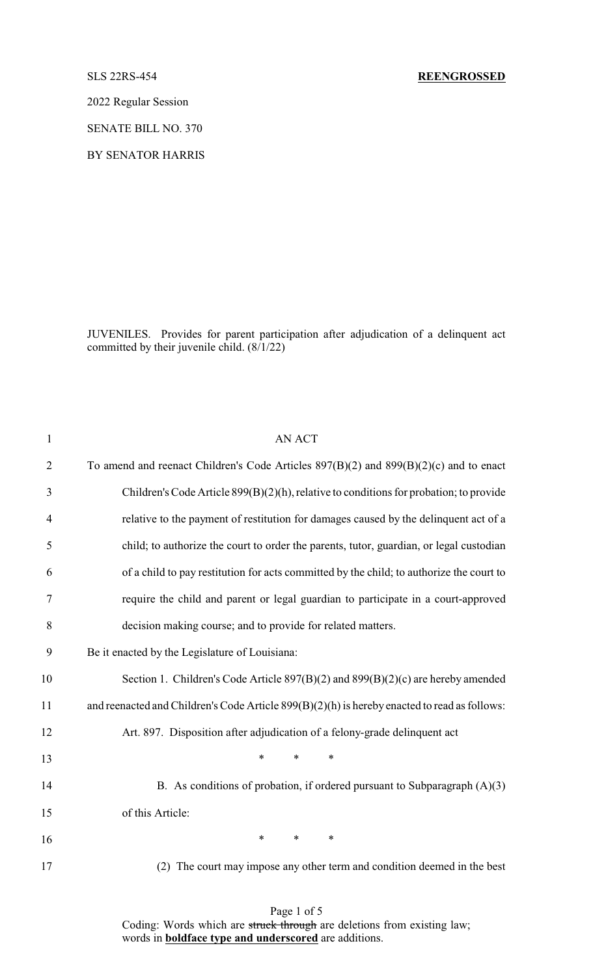### SLS 22RS-454 **REENGROSSED**

2022 Regular Session

SENATE BILL NO. 370

BY SENATOR HARRIS

JUVENILES. Provides for parent participation after adjudication of a delinquent act committed by their juvenile child. (8/1/22)

| $\mathbf{1}$   | <b>AN ACT</b>                                                                                |
|----------------|----------------------------------------------------------------------------------------------|
| $\overline{2}$ | To amend and reenact Children's Code Articles $897(B)(2)$ and $899(B)(2)(c)$ and to enact    |
| 3              | Children's Code Article 899(B)(2)(h), relative to conditions for probation; to provide       |
| $\overline{4}$ | relative to the payment of restitution for damages caused by the delinquent act of a         |
| 5              | child; to authorize the court to order the parents, tutor, guardian, or legal custodian      |
| 6              | of a child to pay restitution for acts committed by the child; to authorize the court to     |
| $\tau$         | require the child and parent or legal guardian to participate in a court-approved            |
| 8              | decision making course; and to provide for related matters.                                  |
| 9              | Be it enacted by the Legislature of Louisiana:                                               |
| 10             | Section 1. Children's Code Article 897(B)(2) and 899(B)(2)(c) are hereby amended             |
| 11             | and reenacted and Children's Code Article 899(B)(2)(h) is hereby enacted to read as follows: |
| 12             | Art. 897. Disposition after adjudication of a felony-grade delinquent act                    |
| 13             | *<br>$\ast$<br>*                                                                             |
| 14             | B. As conditions of probation, if ordered pursuant to Subparagraph $(A)(3)$                  |
| 15             | of this Article:                                                                             |
| 16             | $*$ $*$<br>*<br>$\ast$                                                                       |
| 17             | (2) The court may impose any other term and condition deemed in the best                     |
|                |                                                                                              |

Page 1 of 5

Coding: Words which are struck through are deletions from existing law; words in **boldface type and underscored** are additions.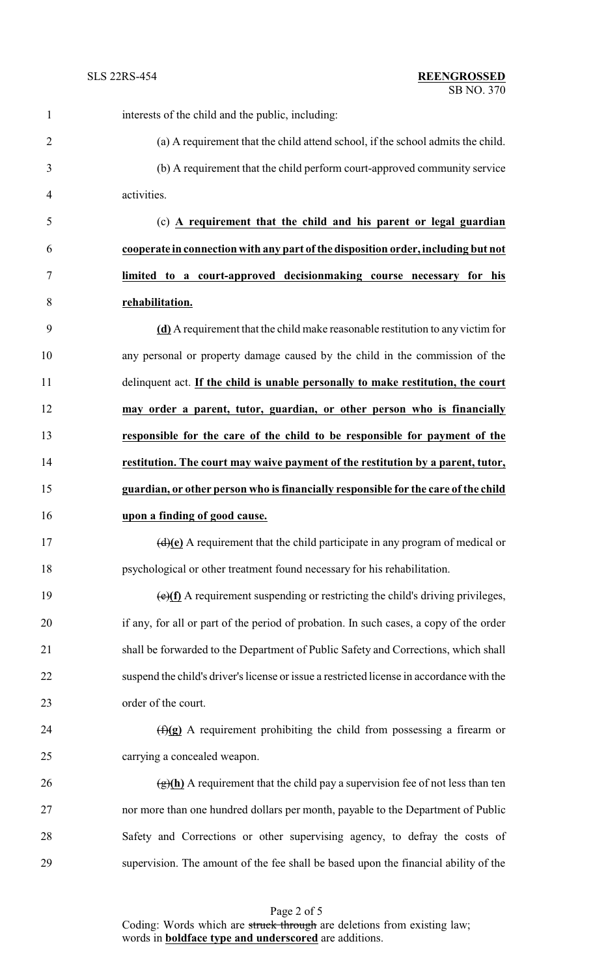| $\mathbf{1}$   | interests of the child and the public, including:                                           |
|----------------|---------------------------------------------------------------------------------------------|
| $\overline{2}$ | (a) A requirement that the child attend school, if the school admits the child.             |
| 3              | (b) A requirement that the child perform court-approved community service                   |
| 4              | activities.                                                                                 |
| 5              | (c) A requirement that the child and his parent or legal guardian                           |
| 6              | cooperate in connection with any part of the disposition order, including but not           |
| 7              | limited to a court-approved decisionmaking course necessary for his                         |
| 8              | rehabilitation.                                                                             |
| 9              | (d) A requirement that the child make reasonable restitution to any victim for              |
| 10             | any personal or property damage caused by the child in the commission of the                |
| 11             | delinquent act. If the child is unable personally to make restitution, the court            |
| 12             | may order a parent, tutor, guardian, or other person who is financially                     |
| 13             | responsible for the care of the child to be responsible for payment of the                  |
| 14             | restitution. The court may waive payment of the restitution by a parent, tutor,             |
| 15             | guardian, or other person who is financially responsible for the care of the child          |
| 16             | upon a finding of good cause.                                                               |
| 17             | $\overline{(d)(e)}$ A requirement that the child participate in any program of medical or   |
| 18             | psychological or other treatment found necessary for his rehabilitation.                    |
| 19             | $\overline{(e)(f)}$ A requirement suspending or restricting the child's driving privileges, |
| 20             | if any, for all or part of the period of probation. In such cases, a copy of the order      |
| 21             | shall be forwarded to the Department of Public Safety and Corrections, which shall          |
| 22             | suspend the child's driver's license or issue a restricted license in accordance with the   |
| 23             | order of the court.                                                                         |
| 24             | $(f)(g)$ A requirement prohibiting the child from possessing a firearm or                   |
| 25             | carrying a concealed weapon.                                                                |
| 26             | $\frac{f(x)}{g(h)}$ A requirement that the child pay a supervision fee of not less than ten |
| 27             | nor more than one hundred dollars per month, payable to the Department of Public            |
| 28             | Safety and Corrections or other supervising agency, to defray the costs of                  |
| 29             | supervision. The amount of the fee shall be based upon the financial ability of the         |

Page 2 of 5 Coding: Words which are struck through are deletions from existing law; words in **boldface type and underscored** are additions.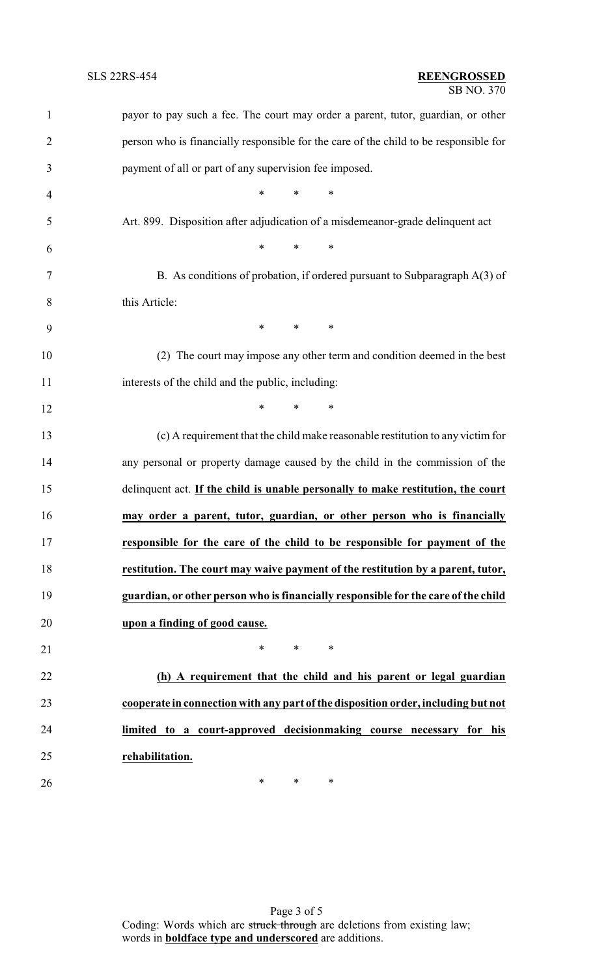| $\mathbf{1}$   | payor to pay such a fee. The court may order a parent, tutor, guardian, or other      |
|----------------|---------------------------------------------------------------------------------------|
| $\overline{2}$ | person who is financially responsible for the care of the child to be responsible for |
| 3              | payment of all or part of any supervision fee imposed.                                |
| 4              | $*$ $*$<br>$*$ $*$<br>∗                                                               |
| 5              | Art. 899. Disposition after adjudication of a misdemeanor-grade delinquent act        |
| 6              | $\ast$<br>$\ast$<br>$\ast$                                                            |
| 7              | B. As conditions of probation, if ordered pursuant to Subparagraph $A(3)$ of          |
| 8              | this Article:                                                                         |
| 9              | $\ast$<br>$\ast$<br>∗                                                                 |
| 10             | (2) The court may impose any other term and condition deemed in the best              |
| 11             | interests of the child and the public, including:                                     |
| 12             | $\ast$<br>$\ast$<br>$\ast$                                                            |
| 13             | (c) A requirement that the child make reasonable restitution to any victim for        |
| 14             | any personal or property damage caused by the child in the commission of the          |
| 15             | delinquent act. If the child is unable personally to make restitution, the court      |
| 16             | may order a parent, tutor, guardian, or other person who is financially               |
| 17             | responsible for the care of the child to be responsible for payment of the            |
| 18             | restitution. The court may waive payment of the restitution by a parent, tutor,       |
| 19             | guardian, or other person who is financially responsible for the care of the child    |
| 20             | upon a finding of good cause.                                                         |
| 21             | $\ast$<br>$\ast$<br>∗                                                                 |
| 22             | (h) A requirement that the child and his parent or legal guardian                     |
| 23             | cooperate in connection with any part of the disposition order, including but not     |
| 24             | limited to a court-approved decisionmaking course necessary for his                   |
| 25             | rehabilitation.                                                                       |
| 26             | ∗<br>∗<br>$\ast$                                                                      |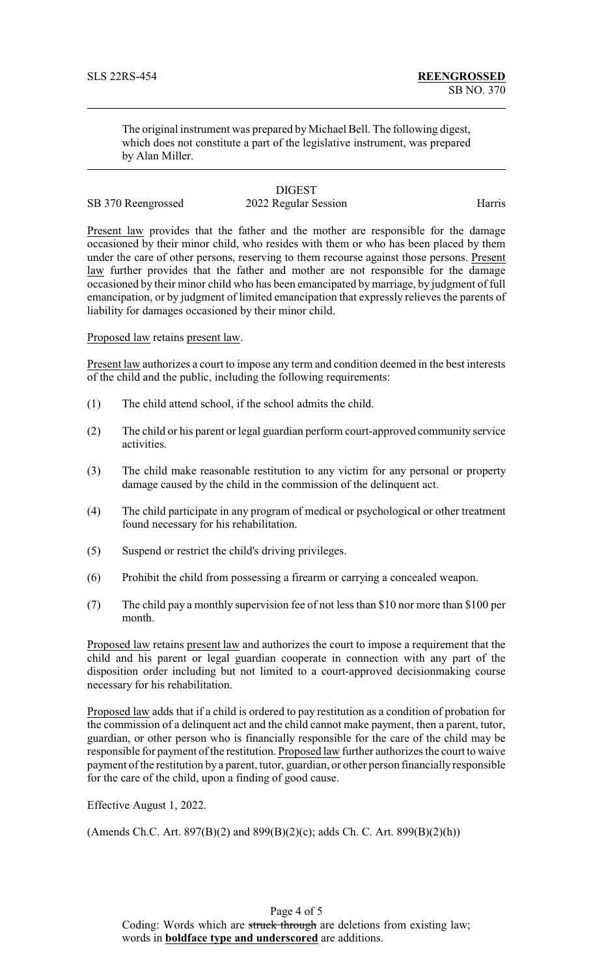The original instrument was prepared by Michael Bell. The following digest, which does not constitute a part of the legislative instrument, was prepared by Alan Miller.

# **DIGEST**

# SB 370 Reengrossed 2022 Regular Session Harris

Present law provides that the father and the mother are responsible for the damage occasioned by their minor child, who resides with them or who has been placed by them under the care of other persons, reserving to them recourse against those persons. Present law further provides that the father and mother are not responsible for the damage occasioned by their minor child who has been emancipated by marriage, by judgment of full emancipation, or by judgment of limited emancipation that expressly relieves the parents of liability for damages occasioned by their minor child.

Proposed law retains present law.

Present law authorizes a court to impose any term and condition deemed in the best interests of the child and the public, including the following requirements:

- (1) The child attend school, if the school admits the child.
- (2) The child or his parent or legal guardian perform court-approved community service activities.
- (3) The child make reasonable restitution to any victim for any personal or property damage caused by the child in the commission of the delinquent act.
- (4) The child participate in any program of medical or psychological or other treatment found necessary for his rehabilitation.
- (5) Suspend or restrict the child's driving privileges.
- (6) Prohibit the child from possessing a firearm or carrying a concealed weapon.
- (7) The child pay a monthly supervision fee of not less than \$10 nor more than \$100 per month.

Proposed law retains present law and authorizes the court to impose a requirement that the child and his parent or legal guardian cooperate in connection with any part of the disposition order including but not limited to a court-approved decisionmaking course necessary for his rehabilitation.

Proposed law adds that if a child is ordered to pay restitution as a condition of probation for the commission of a delinquent act and the child cannot make payment, then a parent, tutor, guardian, or other person who is financially responsible for the care of the child may be responsible for payment of the restitution. Proposed law further authorizes the court to waive payment of the restitution by a parent, tutor, guardian, or other person financially responsible for the care of the child, upon a finding of good cause.

Effective August 1, 2022.

(Amends Ch.C. Art. 897(B)(2) and 899(B)(2)(c); adds Ch. C. Art. 899(B)(2)(h))